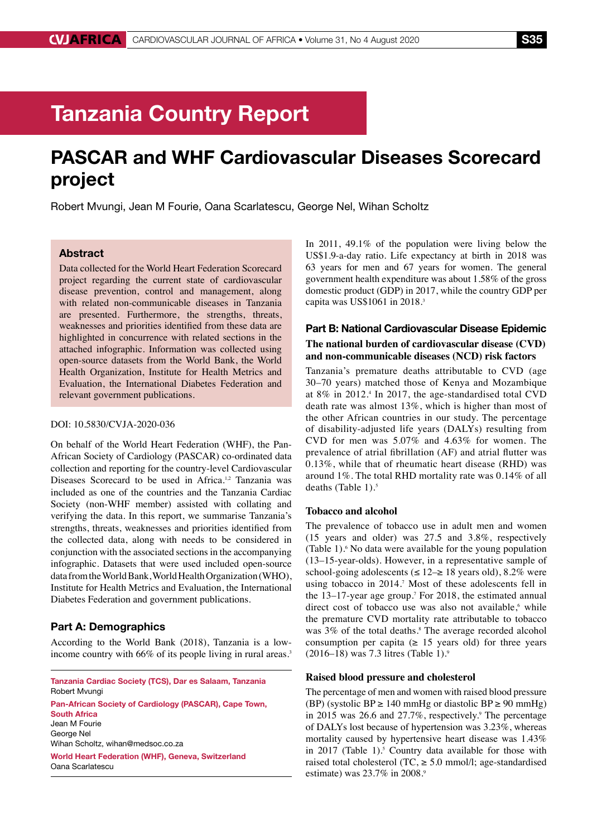# Tanzania Country Report

## PASCAR and WHF Cardiovascular Diseases Scorecard project

Robert Mvungi, Jean M Fourie, Oana Scarlatescu, George Nel, Wihan Scholtz

### Abstract

Data collected for the World Heart Federation Scorecard project regarding the current state of cardiovascular disease prevention, control and management, along with related non-communicable diseases in Tanzania are presented. Furthermore, the strengths, threats, weaknesses and priorities identified from these data are highlighted in concurrence with related sections in the attached infographic. Information was collected using open-source datasets from the World Bank, the World Health Organization, Institute for Health Metrics and Evaluation, the International Diabetes Federation and relevant government publications.

#### DOI: 10.5830/CVJA-2020-036

On behalf of the World Heart Federation (WHF), the Pan-African Society of Cardiology (PASCAR) co-ordinated data collection and reporting for the country-level Cardiovascular Diseases Scorecard to be used in Africa.<sup>1,2</sup> Tanzania was included as one of the countries and the Tanzania Cardiac Society (non-WHF member) assisted with collating and verifying the data. In this report, we summarise Tanzania's strengths, threats, weaknesses and priorities identified from the collected data, along with needs to be considered in conjunction with the associated sections in the accompanying infographic. Datasets that were used included open-source data from the World Bank, World Health Organization (WHO), Institute for Health Metrics and Evaluation, the International Diabetes Federation and government publications.

#### Part A: Demographics

According to the World Bank (2018), Tanzania is a lowincome country with 66% of its people living in rural areas.<sup>3</sup>

Tanzania Cardiac Society (TCS), Dar es Salaam, Tanzania Robert Mvungi

Pan-African Society of Cardiology (PASCAR), Cape Town, South Africa Jean M Fourie George Nel Wihan Scholtz, wihan@medsoc.co.za World Heart Federation (WHF), Geneva, Switzerland Oana Scarlatescu

In 2011, 49.1% of the population were living below the US\$1.9-a-day ratio. Life expectancy at birth in 2018 was 63 years for men and 67 years for women. The general government health expenditure was about 1.58% of the gross domestic product (GDP) in 2017, while the country GDP per capita was US\$1061 in 2018.<sup>3</sup>

## Part B: National Cardiovascular Disease Epidemic **The national burden of cardiovascular disease (CVD) and non-communicable diseases (NCD) risk factors**

Tanzania's premature deaths attributable to CVD (age 30–70 years) matched those of Kenya and Mozambique at 8% in 2012.4 In 2017, the age-standardised total CVD death rate was almost 13%, which is higher than most of the other African countries in our study. The percentage of disability-adjusted life years (DALYs) resulting from CVD for men was 5.07% and 4.63% for women. The prevalence of atrial fibrillation (AF) and atrial flutter was 0.13%, while that of rheumatic heart disease (RHD) was around 1%. The total RHD mortality rate was 0.14% of all deaths (Table  $1$ ).<sup>5</sup>

#### **Tobacco and alcohol**

The prevalence of tobacco use in adult men and women (15 years and older) was 27.5 and 3.8%, respectively (Table 1).<sup>6</sup> No data were available for the young population (13–15-year-olds). However, in a representative sample of school-going adolescents ( $\leq 12 \rightarrow 18$  years old), 8.2% were using tobacco in 2014.<sup>7</sup> Most of these adolescents fell in the 13–17-year age group.<sup>7</sup> For 2018, the estimated annual direct cost of tobacco use was also not available,<sup>6</sup> while the premature CVD mortality rate attributable to tobacco was 3% of the total deaths.<sup>8</sup> The average recorded alcohol consumption per capita ( $\geq$  15 years old) for three years  $(2016–18)$  was 7.3 litres (Table 1).<sup>9</sup>

## **Raised blood pressure and cholesterol**

The percentage of men and women with raised blood pressure (BP) (systolic BP  $\geq$  140 mmHg or diastolic BP  $\geq$  90 mmHg) in 2015 was 26.6 and 27.7%, respectively.<sup>9</sup> The percentage of DALYs lost because of hypertension was 3.23%, whereas mortality caused by hypertensive heart disease was 1.43% in 2017 (Table 1).<sup>5</sup> Country data available for those with raised total cholesterol (TC,  $\ge$  5.0 mmol/l; age-standardised estimate) was 23.7% in 2008.<sup>9</sup>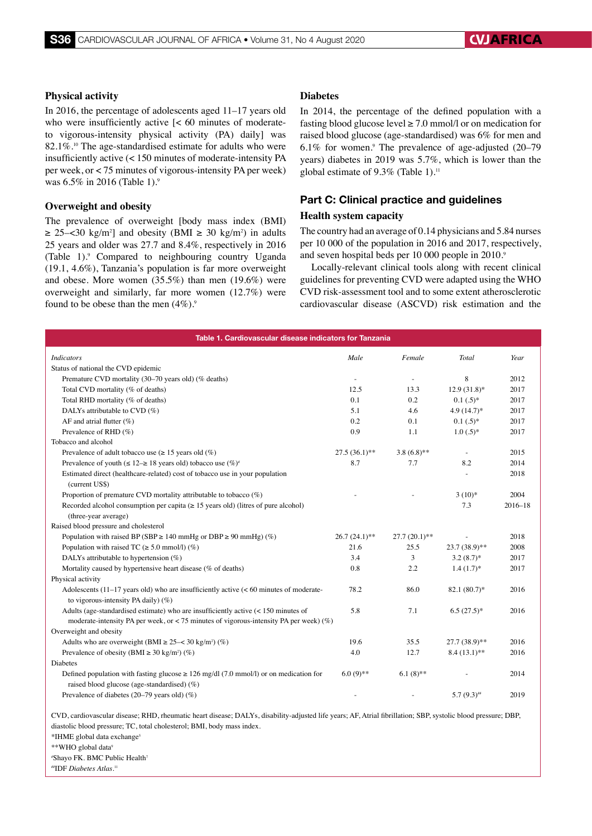#### **Physical activity**

In 2016, the percentage of adolescents aged 11–17 years old who were insufficiently active  $\leq 60$  minutes of moderateto vigorous-intensity physical activity (PA) daily] was  $82.1\%$ .<sup>10</sup> The age-standardised estimate for adults who were insufficiently active (< 150 minutes of moderate-intensity PA per week, or < 75 minutes of vigorous-intensity PA per week) was 6.5% in 2016 (Table 1).<sup>9</sup>

#### **Overweight and obesity**

The prevalence of overweight [body mass index (BMI)  $\geq$  25–<30 kg/m<sup>2</sup>] and obesity (BMI  $\geq$  30 kg/m<sup>2</sup>) in adults 25 years and older was 27.7 and 8.4%, respectively in 2016 (Table 1).<sup>9</sup> Compared to neighbouring country Uganda (19.1, 4.6%), Tanzania's population is far more overweight and obese. More women (35.5%) than men (19.6%) were overweight and similarly, far more women (12.7%) were found to be obese than the men  $(4\%)$ .<sup>9</sup>

#### **Diabetes**

In 2014, the percentage of the defined population with a fasting blood glucose level  $\geq$  7.0 mmol/l or on medication for raised blood glucose (age-standardised) was 6% for men and  $6.1\%$  for women.<sup>9</sup> The prevalence of age-adjusted  $(20-79)$ years) diabetes in 2019 was 5.7%, which is lower than the global estimate of  $9.3\%$  (Table 1).<sup>11</sup>

## Part C: Clinical practice and guidelines

#### **Health system capacity**

The country had an average of 0.14 physicians and 5.84 nurses per 10 000 of the population in 2016 and 2017, respectively, and seven hospital beds per 10 000 people in 2010.<sup>9</sup>

Locally-relevant clinical tools along with recent clinical guidelines for preventing CVD were adapted using the WHO CVD risk-assessment tool and to some extent atherosclerotic cardiovascular disease (ASCVD) risk estimation and the

| Table 1. Cardiovascular disease indicators for Tanzania                                                                                                                                                                                 |                          |                          |                 |             |
|-----------------------------------------------------------------------------------------------------------------------------------------------------------------------------------------------------------------------------------------|--------------------------|--------------------------|-----------------|-------------|
| <b>Indicators</b>                                                                                                                                                                                                                       | Male                     | Female                   | Total           | Year        |
| Status of national the CVD epidemic                                                                                                                                                                                                     |                          |                          |                 |             |
| Premature CVD mortality (30-70 years old) (% deaths)                                                                                                                                                                                    | $\overline{\phantom{a}}$ | $\overline{\phantom{a}}$ | 8               | 2012        |
| Total CVD mortality (% of deaths)                                                                                                                                                                                                       | 12.5                     | 13.3                     | $12.9(31.8)$ *  | 2017        |
| Total RHD mortality (% of deaths)                                                                                                                                                                                                       | 0.1                      | 0.2                      | $0.1(.5)$ *     | 2017        |
| DALYs attributable to CVD $(\%)$                                                                                                                                                                                                        | 5.1                      | 4.6                      | $4.9(14.7)$ *   | 2017        |
| AF and atrial flutter $(\%)$                                                                                                                                                                                                            | 0.2                      | 0.1                      | $0.1(.5)^*$     | 2017        |
| Prevalence of RHD (%)                                                                                                                                                                                                                   | 0.9                      | 1.1                      | $1.0(.5)^*$     | 2017        |
| Tobacco and alcohol                                                                                                                                                                                                                     |                          |                          |                 |             |
| Prevalence of adult tobacco use ( $\geq 15$ years old (%)                                                                                                                                                                               | $27.5(36.1)$ **          | $3.8(6.8)$ **            | $\sim$          | 2015        |
| Prevalence of youth ( $\leq 12 \rightarrow 18$ years old) tobacco use (%) <sup>*</sup>                                                                                                                                                  | 8.7                      | 7.7                      | 8.2             | 2014        |
| Estimated direct (healthcare-related) cost of tobacco use in your population<br>(current US\$)                                                                                                                                          |                          |                          |                 | 2018        |
| Proportion of premature CVD mortality attributable to tobacco $(\%)$                                                                                                                                                                    |                          |                          | $3(10)*$        | 2004        |
| Recorded alcohol consumption per capita ( $\geq$ 15 years old) (litres of pure alcohol)<br>(three-year average)                                                                                                                         |                          |                          | 7.3             | $2016 - 18$ |
| Raised blood pressure and cholesterol                                                                                                                                                                                                   |                          |                          |                 |             |
| Population with raised BP (SBP $\geq$ 140 mmHg or DBP $\geq$ 90 mmHg) (%)                                                                                                                                                               | $26.7(24.1)$ **          | $27.7(20.1)$ **          |                 | 2018        |
| Population with raised TC ( $\geq 5.0$ mmol/l) (%)                                                                                                                                                                                      | 21.6                     | 25.5                     | 23.7 (38.9)**   | 2008        |
| DALYs attributable to hypertension $(\%)$                                                                                                                                                                                               | 3.4                      | 3                        | $3.2(8.7)$ *    | 2017        |
| Mortality caused by hypertensive heart disease (% of deaths)                                                                                                                                                                            | 0.8                      | 2.2                      | $1.4(1.7)$ *    | 2017        |
| Physical activity                                                                                                                                                                                                                       |                          |                          |                 |             |
| Adolescents $(11-17)$ years old) who are insufficiently active (< 60 minutes of moderate-<br>to vigorous-intensity PA daily) $(\%)$                                                                                                     | 78.2                     | 86.0                     | $82.1 (80.7)^*$ | 2016        |
| Adults (age-standardised estimate) who are insufficiently active $(< 150$ minutes of                                                                                                                                                    | 5.8                      | 7.1                      | $6.5(27.5)^*$   | 2016        |
| moderate-intensity PA per week, or < 75 minutes of vigorous-intensity PA per week) $(\%)$                                                                                                                                               |                          |                          |                 |             |
| Overweight and obesity                                                                                                                                                                                                                  |                          |                          |                 |             |
| Adults who are overweight (BMI $\geq$ 25- $\lt$ 30 kg/m <sup>2</sup> ) (%)                                                                                                                                                              | 19.6                     | 35.5                     | $27.7(38.9)$ ** | 2016        |
| Prevalence of obesity (BMI $\geq$ 30 kg/m <sup>2</sup> ) (%)                                                                                                                                                                            | 4.0                      | 12.7                     | $8.4(13.1)$ **  | 2016        |
| <b>Diabetes</b>                                                                                                                                                                                                                         |                          |                          |                 |             |
| Defined population with fasting glucose $\geq 126$ mg/dl (7.0 mmol/l) or on medication for<br>raised blood glucose (age-standardised) $(\%)$                                                                                            | $6.0(9)$ **              | $6.1(8)$ **              |                 | 2014        |
| Prevalence of diabetes (20–79 years old) $(\%)$                                                                                                                                                                                         |                          |                          | $5.7(9.3)$ ##   | 2019        |
| CVD, cardiovascular disease; RHD, rheumatic heart disease; DALYs, disability-adjusted life years; AF, Atrial fibrillation; SBP, systolic blood pressure; DBP,<br>diastolic blood pressure; TC, total cholesterol; BMI, body mass index. |                          |                          |                 |             |

\*IHME global data exchange5

\*\*WHO global data<sup>9</sup>

# Shayo FK. BMC Public Health7

##IDF *Diabetes Atlas*. 11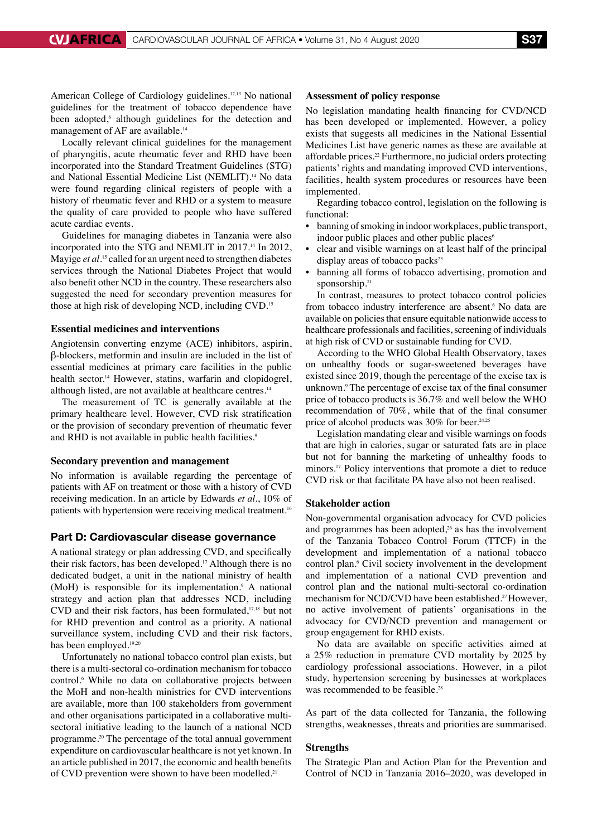American College of Cardiology guidelines.<sup>12,13</sup> No national guidelines for the treatment of tobacco dependence have been adopted,<sup>6</sup> although guidelines for the detection and management of AF are available.<sup>14</sup>

Locally relevant clinical guidelines for the management of pharyngitis, acute rheumatic fever and RHD have been incorporated into the Standard Treatment Guidelines (STG) and National Essential Medicine List (NEMLIT).<sup>14</sup> No data were found regarding clinical registers of people with a history of rheumatic fever and RHD or a system to measure the quality of care provided to people who have suffered acute cardiac events.

Guidelines for managing diabetes in Tanzania were also incorporated into the STG and NEMLIT in 2017.<sup>14</sup> In 2012, Mayige *et al*.<sup>15</sup> called for an urgent need to strengthen diabetes services through the National Diabetes Project that would also benefit other NCD in the country. These researchers also suggested the need for secondary prevention measures for those at high risk of developing NCD, including CVD.15

#### **Essential medicines and interventions**

Angiotensin converting enzyme (ACE) inhibitors, aspirin, β-blockers, metformin and insulin are included in the list of essential medicines at primary care facilities in the public health sector.<sup>14</sup> However, statins, warfarin and clopidogrel, although listed, are not available at healthcare centres.<sup>14</sup>

The measurement of TC is generally available at the primary healthcare level. However, CVD risk stratification or the provision of secondary prevention of rheumatic fever and RHD is not available in public health facilities.<sup>9</sup>

#### **Secondary prevention and management**

No information is available regarding the percentage of patients with AF on treatment or those with a history of CVD receiving medication. In an article by Edwards *et al.*, 10% of patients with hypertension were receiving medical treatment.<sup>16</sup>

#### Part D: Cardiovascular disease governance

A national strategy or plan addressing CVD, and specifically their risk factors, has been developed.17 Although there is no dedicated budget, a unit in the national ministry of health (MoH) is responsible for its implementation.<sup>9</sup> A national strategy and action plan that addresses NCD, including CVD and their risk factors, has been formulated,17,18 but not for RHD prevention and control as a priority. A national surveillance system, including CVD and their risk factors, has been employed.<sup>19,20</sup>

Unfortunately no national tobacco control plan exists, but there is a multi-sectoral co-ordination mechanism for tobacco control.<sup>6</sup> While no data on collaborative projects between the MoH and non-health ministries for CVD interventions are available, more than 100 stakeholders from government and other organisations participated in a collaborative multisectoral initiative leading to the launch of a national NCD programme.20 The percentage of the total annual government expenditure on cardiovascular healthcare is not yet known. In an article published in 2017, the economic and health benefits of CVD prevention were shown to have been modelled.21

#### **Assessment of policy response**

No legislation mandating health financing for CVD/NCD has been developed or implemented. However, a policy exists that suggests all medicines in the National Essential Medicines List have generic names as these are available at affordable prices.<sup>22</sup> Furthermore, no judicial orders protecting patients' rights and mandating improved CVD interventions, facilities, health system procedures or resources have been implemented.

Regarding tobacco control, legislation on the following is functional:

- banning of smoking in indoor workplaces, public transport, indoor public places and other public places<sup>6</sup>
- clear and visible warnings on at least half of the principal display areas of tobacco packs $23$
- banning all forms of tobacco advertising, promotion and sponsorship.<sup>21</sup>

In contrast, measures to protect tobacco control policies from tobacco industry interference are absent.<sup>6</sup> No data are available on policies that ensure equitable nationwide access to healthcare professionals and facilities, screening of individuals at high risk of CVD or sustainable funding for CVD.

According to the WHO Global Health Observatory, taxes on unhealthy foods or sugar-sweetened beverages have existed since 2019, though the percentage of the excise tax is unknown.9 The percentage of excise tax of the final consumer price of tobacco products is 36.7% and well below the WHO recommendation of 70%, while that of the final consumer price of alcohol products was 30% for beer.<sup>24,25</sup>

Legislation mandating clear and visible warnings on foods that are high in calories, sugar or saturated fats are in place but not for banning the marketing of unhealthy foods to minors.17 Policy interventions that promote a diet to reduce CVD risk or that facilitate PA have also not been realised.

#### **Stakeholder action**

Non-governmental organisation advocacy for CVD policies and programmes has been adopted, $26$  as has the involvement of the Tanzania Tobacco Control Forum (TTCF) in the development and implementation of a national tobacco control plan.<sup>6</sup> Civil society involvement in the development and implementation of a national CVD prevention and control plan and the national multi-sectoral co-ordination mechanism for NCD/CVD have been established.<sup>27</sup> However, no active involvement of patients' organisations in the advocacy for CVD/NCD prevention and management or group engagement for RHD exists.

No data are available on specific activities aimed at a 25% reduction in premature CVD mortality by 2025 by cardiology professional associations. However, in a pilot study, hypertension screening by businesses at workplaces was recommended to be feasible.<sup>28</sup>

As part of the data collected for Tanzania, the following strengths, weaknesses, threats and priorities are summarised.

#### **Strengths**

The Strategic Plan and Action Plan for the Prevention and Control of NCD in Tanzania 2016–2020, was developed in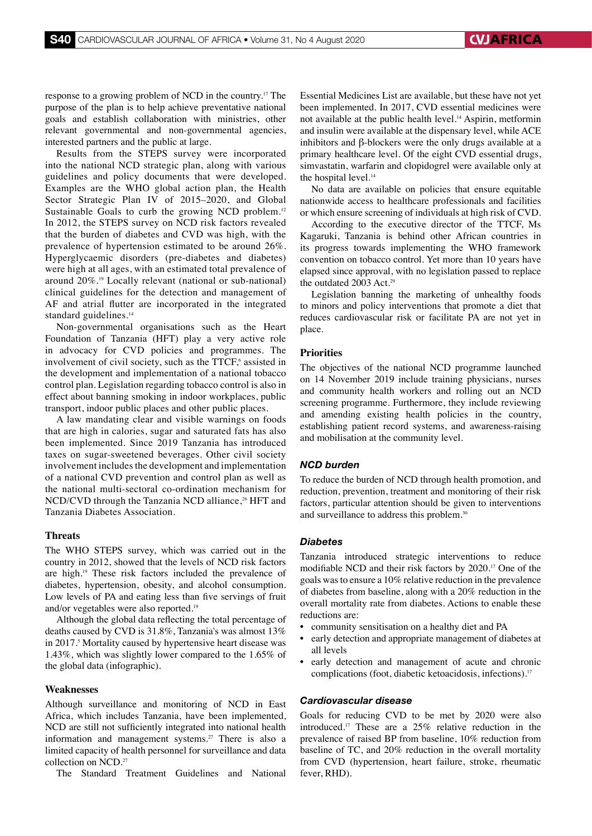response to a growing problem of NCD in the country.17 The purpose of the plan is to help achieve preventative national goals and establish collaboration with ministries, other relevant governmental and non-governmental agencies, interested partners and the public at large.

Results from the STEPS survey were incorporated into the national NCD strategic plan, along with various guidelines and policy documents that were developed. Examples are the WHO global action plan, the Health Sector Strategic Plan IV of 2015–2020, and Global Sustainable Goals to curb the growing NCD problem.<sup>12</sup> In 2012, the STEPS survey on NCD risk factors revealed that the burden of diabetes and CVD was high, with the prevalence of hypertension estimated to be around 26%. Hyperglycaemic disorders (pre-diabetes and diabetes) were high at all ages, with an estimated total prevalence of around 20%.19 Locally relevant (national or sub-national) clinical guidelines for the detection and management of AF and atrial flutter are incorporated in the integrated standard guidelines.<sup>14</sup>

Non-governmental organisations such as the Heart Foundation of Tanzania (HFT) play a very active role in advocacy for CVD policies and programmes. The involvement of civil society, such as the TTCF,<sup>6</sup> assisted in the development and implementation of a national tobacco control plan. Legislation regarding tobacco control is also in effect about banning smoking in indoor workplaces, public transport, indoor public places and other public places.

A law mandating clear and visible warnings on foods that are high in calories, sugar and saturated fats has also been implemented. Since 2019 Tanzania has introduced taxes on sugar-sweetened beverages. Other civil society involvement includes the development and implementation of a national CVD prevention and control plan as well as the national multi-sectoral co-ordination mechanism for NCD/CVD through the Tanzania NCD alliance,<sup>26</sup> HFT and Tanzania Diabetes Association.

#### **Threats**

The WHO STEPS survey, which was carried out in the country in 2012, showed that the levels of NCD risk factors are high.19 These risk factors included the prevalence of diabetes, hypertension, obesity, and alcohol consumption. Low levels of PA and eating less than five servings of fruit and/or vegetables were also reported.19

Although the global data reflecting the total percentage of deaths caused by CVD is 31.8%, Tanzania's was almost 13% in 2017.<sup>5</sup> Mortality caused by hypertensive heart disease was 1.43%, which was slightly lower compared to the 1.65% of the global data (infographic).

#### **Weaknesses**

Although surveillance and monitoring of NCD in East Africa, which includes Tanzania, have been implemented, NCD are still not sufficiently integrated into national health information and management systems.<sup>27</sup> There is also a limited capacity of health personnel for surveillance and data collection on NCD.27

The Standard Treatment Guidelines and National

Essential Medicines List are available, but these have not yet been implemented. In 2017, CVD essential medicines were not available at the public health level.<sup>14</sup> Aspirin, metformin and insulin were available at the dispensary level, while ACE inhibitors and β-blockers were the only drugs available at a primary healthcare level. Of the eight CVD essential drugs, simvastatin, warfarin and clopidogrel were available only at the hospital level.<sup>14</sup>

No data are available on policies that ensure equitable nationwide access to healthcare professionals and facilities or which ensure screening of individuals at high risk of CVD.

According to the executive director of the TTCF, Ms Kagaruki, Tanzania is behind other African countries in its progress towards implementing the WHO framework convention on tobacco control. Yet more than 10 years have elapsed since approval, with no legislation passed to replace the outdated 2003 Act.<sup>29</sup>

Legislation banning the marketing of unhealthy foods to minors and policy interventions that promote a diet that reduces cardiovascular risk or facilitate PA are not yet in place.

#### **Priorities**

The objectives of the national NCD programme launched on 14 November 2019 include training physicians, nurses and community health workers and rolling out an NCD screening programme. Furthermore, they include reviewing and amending existing health policies in the country, establishing patient record systems, and awareness-raising and mobilisation at the community level.

#### *NCD burden*

To reduce the burden of NCD through health promotion, and reduction, prevention, treatment and monitoring of their risk factors, particular attention should be given to interventions and surveillance to address this problem.<sup>30</sup>

#### *Diabetes*

Tanzania introduced strategic interventions to reduce modifiable NCD and their risk factors by 2020.17 One of the goals was to ensure a 10% relative reduction in the prevalence of diabetes from baseline, along with a 20% reduction in the overall mortality rate from diabetes. Actions to enable these reductions are:

- community sensitisation on a healthy diet and PA
- early detection and appropriate management of diabetes at all levels
- early detection and management of acute and chronic complications (foot, diabetic ketoacidosis, infections).17

#### *Cardiovascular disease*

Goals for reducing CVD to be met by 2020 were also introduced.17 These are a 25% relative reduction in the prevalence of raised BP from baseline, 10% reduction from baseline of TC, and 20% reduction in the overall mortality from CVD (hypertension, heart failure, stroke, rheumatic fever, RHD).